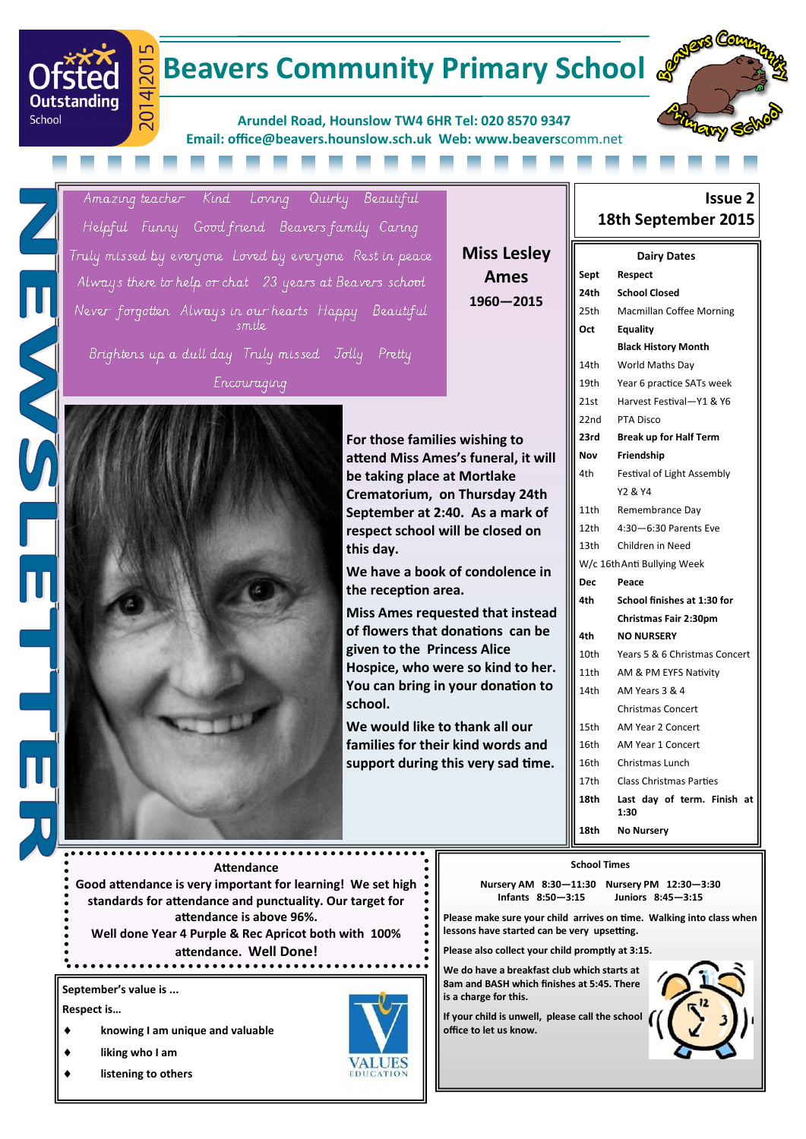### $201$ **Beavers Community Primary School &**

**Arundel Road, Hounslow TW4 6HR Tel: 020 8570 9347 Email: office@beavers.hounslow.sch.uk Web: www.beavers**comm.net



**Issue 2**

Amazing teacher Kind Loving Quirky Beautiful Helpful Funny Goodfriend Beavers family Caring Truly missed by everyone Loved by everyone Rest in peace Always there to help or chat 23 years at Beavers school Never forgotten Always in our hearts Happy Beautiful em ilo Brightens up a dull day Truly missed Jolly Pretty

ਚ

201

**Outstanding** 

School

Encouraging



### **Miss Lesley Ames 1960—2015**

# **18th September 2015 Dairy Dates**

| Sept             | Respect                             |
|------------------|-------------------------------------|
| 24th             | <b>School Closed</b>                |
| 25th             | <b>Macmillan Coffee Morning</b>     |
| Oct              | <b>Equality</b>                     |
|                  | <b>Black History Month</b>          |
| 14th             | World Maths Day                     |
| 19th             | Year 6 practice SATs week           |
| 21st             | Harvest Festival-Y1 & Y6            |
| 22nd             | <b>PTA Disco</b>                    |
| 23rd             | <b>Break up for Half Term</b>       |
| Nov              | Friendship                          |
| 4th              | Festival of Light Assembly          |
|                  | Y2 & Y4                             |
| 11th             | Remembrance Day                     |
| 12th             | $4:30 - 6:30$ Parents Eve           |
| 13 <sub>th</sub> | Children in Need                    |
|                  | W/c 16th Anti Bullying Week         |
| Dec              | Peace                               |
|                  |                                     |
| 4th              | School finishes at 1:30 for         |
|                  | Christmas Fair 2:30pm               |
| 4th              | <b>NO NURSERY</b>                   |
| 10th             | Years 5 & 6 Christmas Concert       |
| 11th             | AM & PM EYFS Nativity               |
| 14th             | AM Years 3 & 4                      |
|                  | <b>Christmas Concert</b>            |
| 15th             | <b>AM Year 2 Concert</b>            |
| 16th             | <b>AM Year 1 Concert</b>            |
| 16th             | Christmas Lunch                     |
| 17th             | <b>Class Christmas Parties</b>      |
| 18th             | Last day of term. Finish at<br>1:30 |
| 18th             | <b>No Nursery</b>                   |

#### **Attendance**

**Good attendance is very important for learning! We set high standards for attendance and punctuality. Our target for attendance is above 96%. Well done Year 4 Purple & Rec Apricot both with 100%** 

**attendance. Well Done!**

**September's value is ...**

**Respect is…**

- **knowing I am unique and valuable**
- **liking who I am**
- **listening to others**



#### **School Times**

**Nursery AM 8:30—11:30 Nursery PM 12:30—3:30 Infants 8:50—3:15 Juniors 8:45—3:15**

**Please make sure your child arrives on time. Walking into class when lessons have started can be very upsetting.**

**Please also collect your child promptly at 3:15.**

**We do have a breakfast club which starts at 8am and BASH which finishes at 5:45. There is a charge for this.**

**If your child is unwell, please call the school office to let us know.**